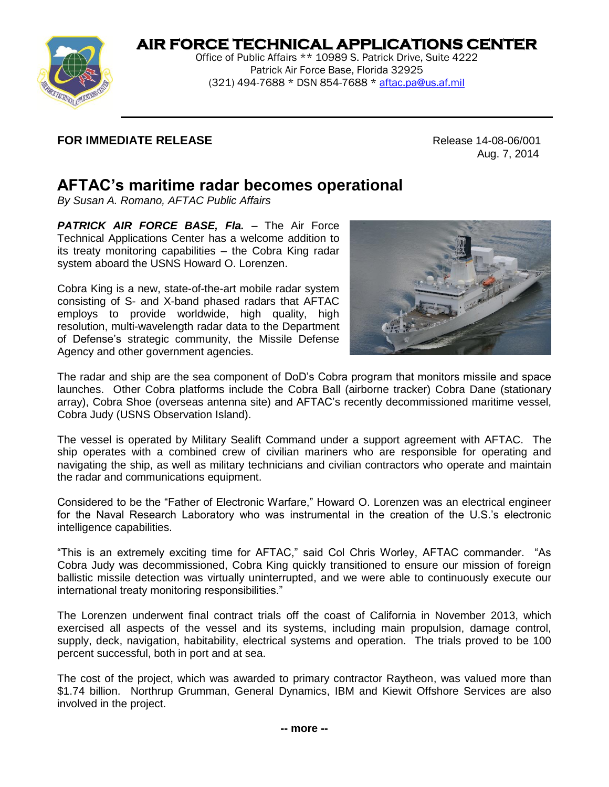## **AIR FORCE TECHNICAL APPLICATIONS CENTER**



Office of Public Affairs \*\* 10989 S. Patrick Drive, Suite 4222 Patrick Air Force Base, Florida 32925 (321) 494-7688 \* DSN 854-7688 \* [aftac.pa@us.af.mil](mailto:aftac.pa@us.af.mil)

## **FOR IMMEDIATE RELEASE Release 14-08-06/001**

Aug. 7, 2014

## **AFTAC's maritime radar becomes operational**

*By Susan A. Romano, AFTAC Public Affairs*

**PATRICK AIR FORCE BASE, Fla. - The Air Force** Technical Applications Center has a welcome addition to its treaty monitoring capabilities – the Cobra King radar system aboard the USNS Howard O. Lorenzen.

Cobra King is a new, state-of-the-art mobile radar system consisting of S- and X-band phased radars that AFTAC employs to provide worldwide, high quality, high resolution, multi-wavelength radar data to the Department of Defense's strategic community, the Missile Defense Agency and other government agencies.



The radar and ship are the sea component of DoD's Cobra program that monitors missile and space launches. Other Cobra platforms include the Cobra Ball (airborne tracker) Cobra Dane (stationary array), Cobra Shoe (overseas antenna site) and AFTAC's recently decommissioned maritime vessel, Cobra Judy (USNS Observation Island).

The vessel is operated by Military Sealift Command under a support agreement with AFTAC. The ship operates with a combined crew of civilian mariners who are responsible for operating and navigating the ship, as well as military technicians and civilian contractors who operate and maintain the radar and communications equipment.

Considered to be the "Father of Electronic Warfare," Howard O. Lorenzen was an electrical engineer for the Naval Research Laboratory who was instrumental in the creation of the U.S.'s electronic intelligence capabilities.

"This is an extremely exciting time for AFTAC," said Col Chris Worley, AFTAC commander. "As Cobra Judy was decommissioned, Cobra King quickly transitioned to ensure our mission of foreign ballistic missile detection was virtually uninterrupted, and we were able to continuously execute our international treaty monitoring responsibilities."

The Lorenzen underwent final contract trials off the coast of California in November 2013, which exercised all aspects of the vessel and its systems, including main propulsion, damage control, supply, deck, navigation, habitability, electrical systems and operation. The trials proved to be 100 percent successful, both in port and at sea.

The cost of the project, which was awarded to primary contractor Raytheon, was valued more than \$1.74 billion. Northrup Grumman, General Dynamics, IBM and Kiewit Offshore Services are also involved in the project.